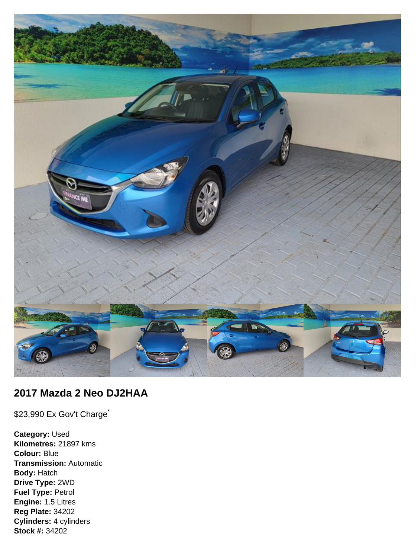

# **2017 Mazda 2 Neo DJ2HAA**

\$23,990 Ex Gov't Charge<sup>\*</sup>

**Category:** Used **Kilometres:** 21897 kms **Colour:** Blue **Transmission:** Automatic **Body:** Hatch **Drive Type:** 2WD **Fuel Type:** Petrol **Engine:** 1.5 Litres **Reg Plate:** 34202 **Cylinders:** 4 cylinders **Stock #:** 34202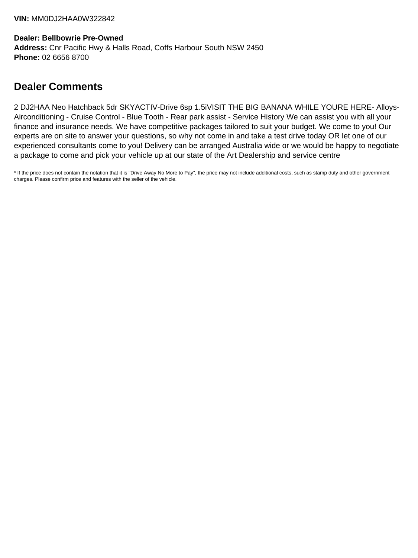### **Dealer: Bellbowrie Pre-Owned Address:** Cnr Pacific Hwy & Halls Road, Coffs Harbour South NSW 2450 **Phone:** 02 6656 8700

# **Dealer Comments**

2 DJ2HAA Neo Hatchback 5dr SKYACTIV-Drive 6sp 1.5iVISIT THE BIG BANANA WHILE YOURE HERE- Alloys-Airconditioning - Cruise Control - Blue Tooth - Rear park assist - Service History We can assist you with all your finance and insurance needs. We have competitive packages tailored to suit your budget. We come to you! Our experts are on site to answer your questions, so why not come in and take a test drive today OR let one of our experienced consultants come to you! Delivery can be arranged Australia wide or we would be happy to negotiate a package to come and pick your vehicle up at our state of the Art Dealership and service centre

\* If the price does not contain the notation that it is "Drive Away No More to Pay", the price may not include additional costs, such as stamp duty and other government charges. Please confirm price and features with the seller of the vehicle.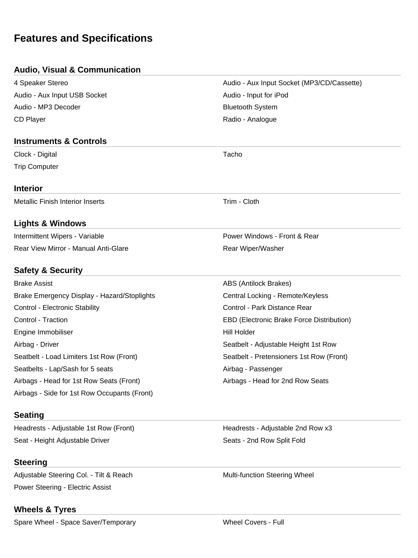# **Features and Specifications**

### **Audio, Visual & Communication**

| Headrests - Adjustable 1st Row (Front)       | Headrests - Adjustable 2nd Row x3          |  |
|----------------------------------------------|--------------------------------------------|--|
| <b>Seating</b>                               |                                            |  |
| Airbags - Side for 1st Row Occupants (Front) |                                            |  |
| Airbags - Head for 1st Row Seats (Front)     | Airbags - Head for 2nd Row Seats           |  |
| Seatbelts - Lap/Sash for 5 seats             | Airbag - Passenger                         |  |
| Seatbelt - Load Limiters 1st Row (Front)     | Seatbelt - Pretensioners 1st Row (Front)   |  |
| Airbag - Driver                              | Seatbelt - Adjustable Height 1st Row       |  |
| Engine Immobiliser                           | <b>Hill Holder</b>                         |  |
| Control - Traction                           | EBD (Electronic Brake Force Distribution)  |  |
| Control - Electronic Stability               | Control - Park Distance Rear               |  |
| Brake Emergency Display - Hazard/Stoplights  | Central Locking - Remote/Keyless           |  |
| <b>Brake Assist</b>                          | ABS (Antilock Brakes)                      |  |
| <b>Safety &amp; Security</b>                 |                                            |  |
| Rear View Mirror - Manual Anti-Glare         | Rear Wiper/Washer                          |  |
| Intermittent Wipers - Variable               | Power Windows - Front & Rear               |  |
| <b>Lights &amp; Windows</b>                  |                                            |  |
| <b>Metallic Finish Interior Inserts</b>      | Trim - Cloth                               |  |
| <b>Interior</b>                              |                                            |  |
| <b>Trip Computer</b>                         |                                            |  |
| Clock - Digital                              | Tacho                                      |  |
| <b>Instruments &amp; Controls</b>            |                                            |  |
| <b>CD Player</b>                             | Radio - Analogue                           |  |
| Audio - MP3 Decoder                          | <b>Bluetooth System</b>                    |  |
| Audio - Aux Input USB Socket                 | Audio - Input for iPod                     |  |
| 4 Speaker Stereo                             | Audio - Aux Input Socket (MP3/CD/Cassette) |  |
|                                              |                                            |  |

Seat - Height Adjustable Driver Seats - 2nd Row Split Fold

## **Steering**

Adjustable Steering Col. - Tilt & Reach Multi-function Steering Wheel Power Steering - Electric Assist

## **Wheels & Tyres**

Spare Wheel - Space Saver/Temporary Wheel Covers - Full